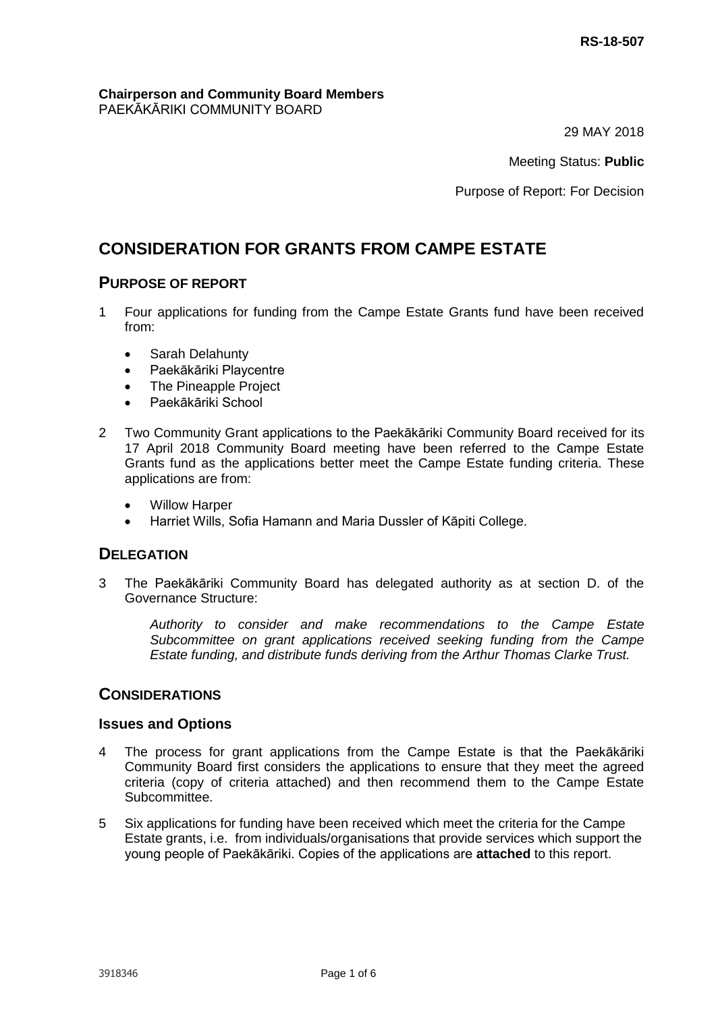#### **Chairperson and Community Board Members** PAEKĀKĀRIKI COMMUNITY BOARD

29 MAY 2018

Meeting Status: **Public**

Purpose of Report: For Decision

# **CONSIDERATION FOR GRANTS FROM CAMPE ESTATE**

### **PURPOSE OF REPORT**

- 1 Four applications for funding from the Campe Estate Grants fund have been received from:
	- Sarah Delahunty
	- Paekākāriki Playcentre
	- The Pineapple Project
	- Paekākāriki School
- 2 Two Community Grant applications to the Paekākāriki Community Board received for its 17 April 2018 Community Board meeting have been referred to the Campe Estate Grants fund as the applications better meet the Campe Estate funding criteria. These applications are from:
	- Willow Harper
	- Harriet Wills, Sofia Hamann and Maria Dussler of Kāpiti College.

### **DELEGATION**

3 The Paekākāriki Community Board has delegated authority as at section D. of the Governance Structure:

*Authority to consider and make recommendations to the Campe Estate Subcommittee on grant applications received seeking funding from the Campe Estate funding, and distribute funds deriving from the Arthur Thomas Clarke Trust.* 

#### **CONSIDERATIONS**

#### **Issues and Options**

- 4 The process for grant applications from the Campe Estate is that the Paekākāriki Community Board first considers the applications to ensure that they meet the agreed criteria (copy of criteria attached) and then recommend them to the Campe Estate Subcommittee.
- 5 Six applications for funding have been received which meet the criteria for the Campe Estate grants, i.e. from individuals/organisations that provide services which support the young people of Paekākāriki. Copies of the applications are **attached** to this report.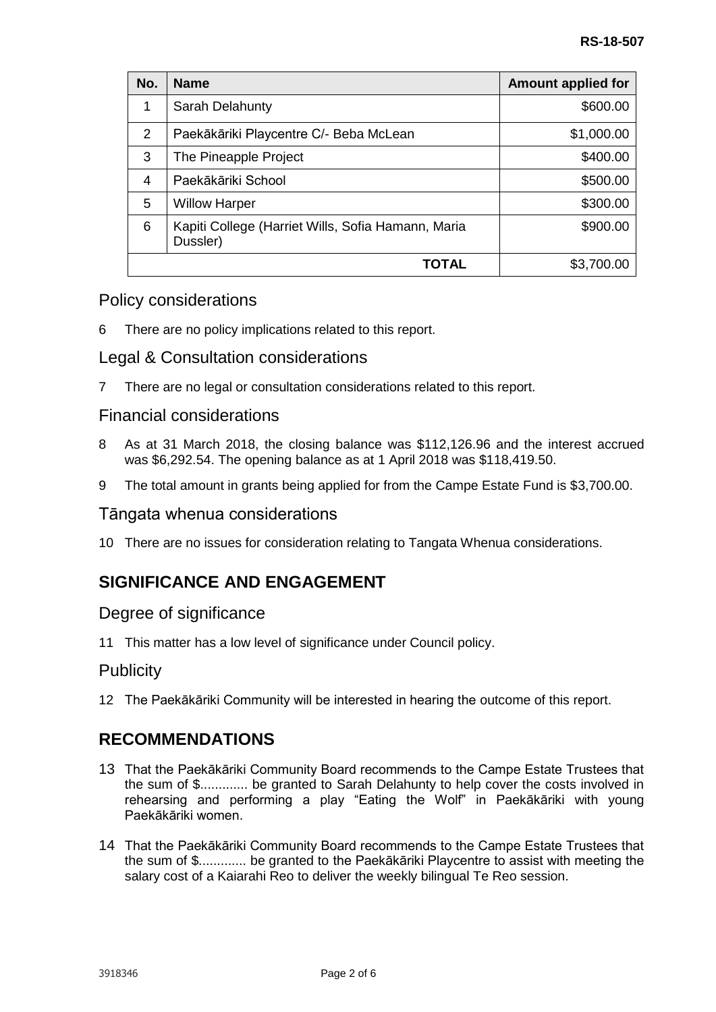| No.   | <b>Name</b>                                                    | <b>Amount applied for</b> |
|-------|----------------------------------------------------------------|---------------------------|
| 1     | Sarah Delahunty                                                | \$600.00                  |
| 2     | Paekākāriki Playcentre C/- Beba McLean                         | \$1,000.00                |
| 3     | The Pineapple Project                                          | \$400.00                  |
| 4     | Paekākāriki School                                             | \$500.00                  |
| 5     | <b>Willow Harper</b>                                           | \$300.00                  |
| 6     | Kapiti College (Harriet Wills, Sofia Hamann, Maria<br>Dussler) | \$900.00                  |
| TOTAL |                                                                | \$3,700.00                |

## Policy considerations

6 There are no policy implications related to this report.

### Legal & Consultation considerations

7 There are no legal or consultation considerations related to this report.

### Financial considerations

- 8 As at 31 March 2018, the closing balance was \$112,126.96 and the interest accrued was \$6,292.54. The opening balance as at 1 April 2018 was \$118,419.50.
- 9 The total amount in grants being applied for from the Campe Estate Fund is \$3,700.00.

### Tāngata whenua considerations

10 There are no issues for consideration relating to Tangata Whenua considerations.

# **SIGNIFICANCE AND ENGAGEMENT**

### Degree of significance

11 This matter has a low level of significance under Council policy.

### **Publicity**

12 The Paekākāriki Community will be interested in hearing the outcome of this report.

## **RECOMMENDATIONS**

- 13 That the Paekākāriki Community Board recommends to the Campe Estate Trustees that the sum of \$............. be granted to Sarah Delahunty to help cover the costs involved in rehearsing and performing a play "Eating the Wolf" in Paekākāriki with young Paekākāriki women.
- 14 That the Paekākāriki Community Board recommends to the Campe Estate Trustees that the sum of \$............. be granted to the Paekākāriki Playcentre to assist with meeting the salary cost of a Kaiarahi Reo to deliver the weekly bilingual Te Reo session.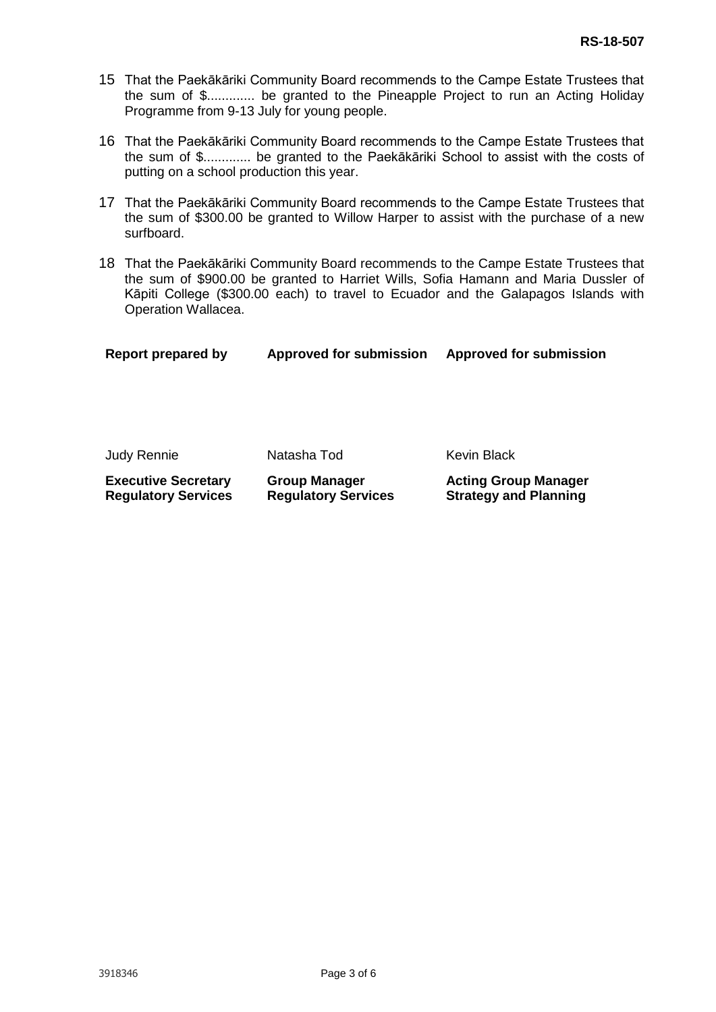- 15 That the Paekākāriki Community Board recommends to the Campe Estate Trustees that the sum of \$............. be granted to the Pineapple Project to run an Acting Holiday Programme from 9-13 July for young people.
- 16 That the Paekākāriki Community Board recommends to the Campe Estate Trustees that the sum of \$............. be granted to the Paekākāriki School to assist with the costs of putting on a school production this year.
- 17 That the Paekākāriki Community Board recommends to the Campe Estate Trustees that the sum of \$300.00 be granted to Willow Harper to assist with the purchase of a new surfboard.
- 18 That the Paekākāriki Community Board recommends to the Campe Estate Trustees that the sum of \$900.00 be granted to Harriet Wills, Sofia Hamann and Maria Dussler of Kāpiti College (\$300.00 each) to travel to Ecuador and the Galapagos Islands with Operation Wallacea.

| Report prepared by | <b>Approved for submission</b> | <b>Approved for submission</b> |  |
|--------------------|--------------------------------|--------------------------------|--|
|                    |                                |                                |  |
|                    |                                |                                |  |
|                    |                                |                                |  |
|                    |                                |                                |  |

**Executive Secretary Regulatory Services Group Manager Regulatory Services Acting Group Manager Strategy and Planning**

Judy Rennie Natasha Tod Kevin Black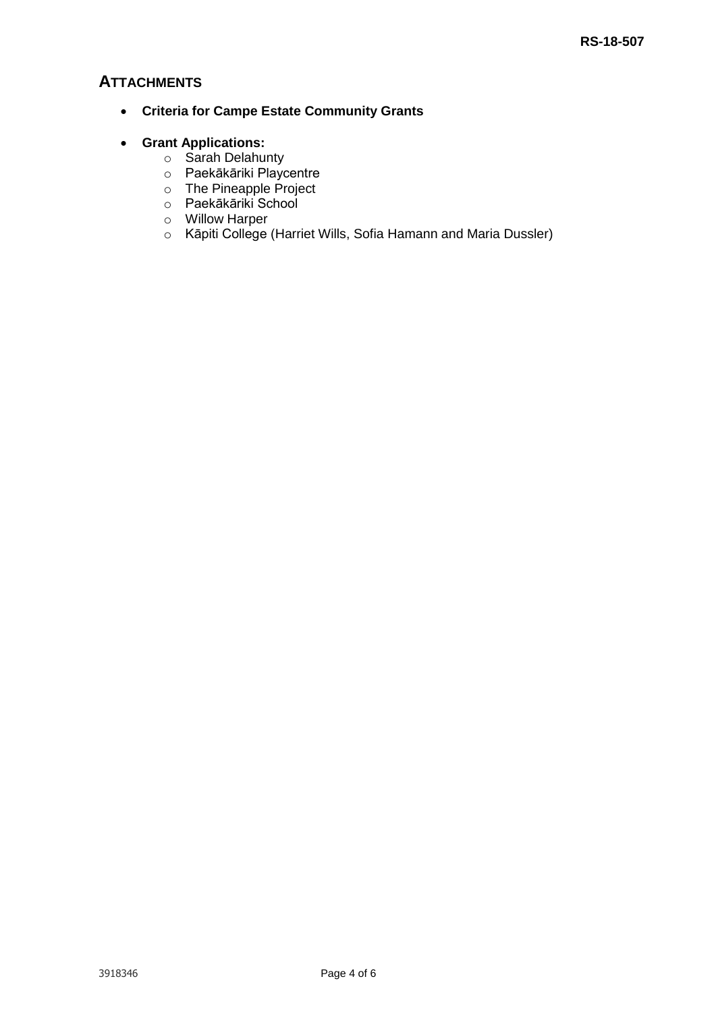## **ATTACHMENTS**

- **Criteria for Campe Estate Community Grants**
- **Grant Applications:**
	- o Sarah Delahunty
	- o Paekākāriki Playcentre
	- o The Pineapple Project
	- o Paekākāriki School
	- o Willow Harper
	- o Kāpiti College (Harriet Wills, Sofia Hamann and Maria Dussler)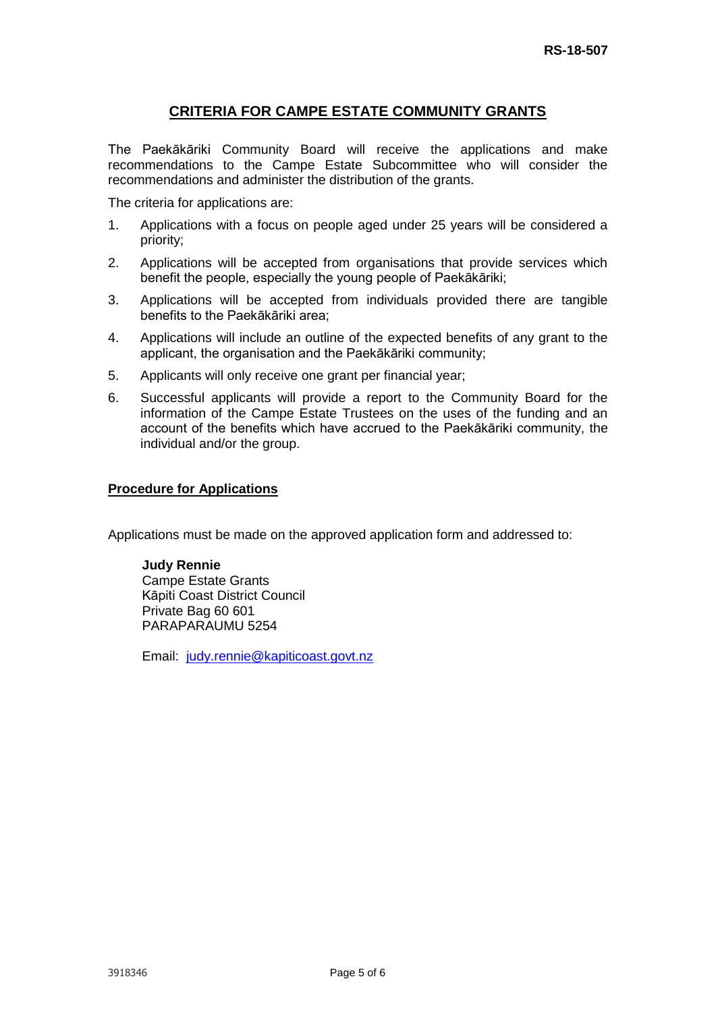#### **CRITERIA FOR CAMPE ESTATE COMMUNITY GRANTS**

The Paekākāriki Community Board will receive the applications and make recommendations to the Campe Estate Subcommittee who will consider the recommendations and administer the distribution of the grants.

The criteria for applications are:

- 1. Applications with a focus on people aged under 25 years will be considered a priority;
- 2. Applications will be accepted from organisations that provide services which benefit the people, especially the young people of Paekākāriki;
- 3. Applications will be accepted from individuals provided there are tangible benefits to the Paekākāriki area;
- 4. Applications will include an outline of the expected benefits of any grant to the applicant, the organisation and the Paekākāriki community;
- 5. Applicants will only receive one grant per financial year;
- 6. Successful applicants will provide a report to the Community Board for the information of the Campe Estate Trustees on the uses of the funding and an account of the benefits which have accrued to the Paekākāriki community, the individual and/or the group.

#### **Procedure for Applications**

Applications must be made on the approved application form and addressed to:

**Judy Rennie** Campe Estate Grants Kāpiti Coast District Council Private Bag 60 601 PARAPARAUMU 5254

Email: [judy.rennie@kapiticoast.govt.nz](mailto:judy.rennie@kapiticoast.govt.nz)